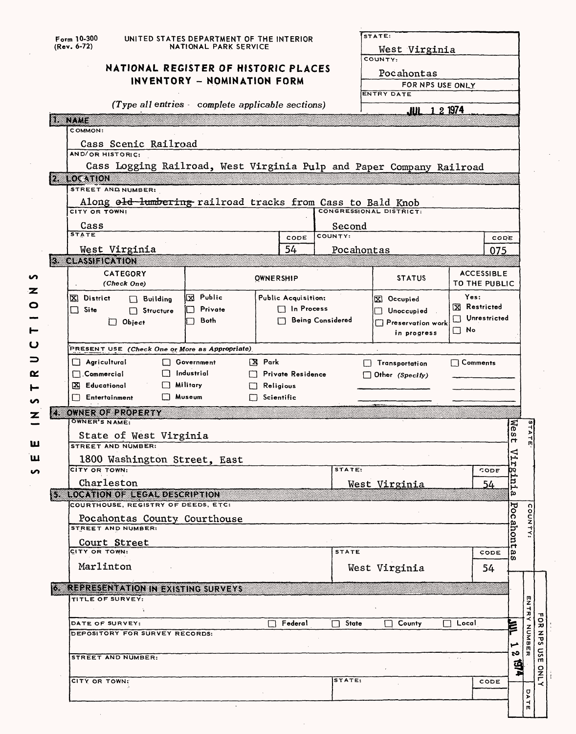|                | Form 10-300<br>(Rev. 6-72)                                             | UNITED STATES DEPARTMENT OF THE INTERIOR<br>NATIONAL PARK SERVICE |                   |                     |                         | STATE:<br>West Virginia  |                                                   |                                      |
|----------------|------------------------------------------------------------------------|-------------------------------------------------------------------|-------------------|---------------------|-------------------------|--------------------------|---------------------------------------------------|--------------------------------------|
|                |                                                                        | NATIONAL REGISTER OF HISTORIC PLACES                              |                   |                     |                         | COUNTY:                  |                                                   |                                      |
|                |                                                                        |                                                                   |                   |                     |                         | Pocahontas               |                                                   |                                      |
|                |                                                                        | INVENTORY - NOMINATION FORM                                       |                   |                     |                         | FOR NPS USE ONLY         |                                                   |                                      |
|                |                                                                        | $(Type$ all entries complete applicable sections)                 |                   |                     |                         | ENTRY DATE               |                                                   |                                      |
|                |                                                                        |                                                                   |                   |                     |                         | JUL 1 2 1974             |                                                   |                                      |
| e de la contra | COMMON:                                                                |                                                                   |                   |                     |                         |                          |                                                   |                                      |
|                | Cass Scenic Railroad                                                   |                                                                   |                   |                     |                         |                          |                                                   |                                      |
|                | AND/OR HISTORIC:                                                       |                                                                   |                   |                     |                         |                          |                                                   |                                      |
|                | Cass Logging Railroad, West Virginia Pulp and Paper Company Railroad   |                                                                   |                   |                     |                         |                          |                                                   |                                      |
|                | $2$ LOCATION                                                           |                                                                   |                   |                     |                         |                          |                                                   |                                      |
|                | STREET AND NUMBER:                                                     |                                                                   |                   |                     |                         |                          |                                                   |                                      |
|                | Along o <del>ld lumbering</del> railroad tracks from Cass to Bald Knob |                                                                   |                   |                     |                         |                          |                                                   |                                      |
|                | CITY OR TOWN:                                                          |                                                                   |                   |                     |                         |                          |                                                   |                                      |
|                | Cass<br><b>STATE</b>                                                   |                                                                   |                   |                     | Second<br>COUNTY:       |                          |                                                   |                                      |
|                | West Virginia                                                          |                                                                   |                   | CODE<br>54          |                         |                          | CODE                                              |                                      |
|                | <b>3 CLASSIFICATION</b>                                                |                                                                   |                   |                     | Pocahontas              |                          | 075                                               |                                      |
|                | CATEGORY                                                               |                                                                   |                   |                     |                         |                          | <b>ACCESSIBLE</b>                                 |                                      |
|                | (Check One)                                                            |                                                                   | <b>OWNERSHIP</b>  |                     |                         | <b>STATUS</b>            | TO THE PUBLIC                                     |                                      |
|                | X District<br>$\Box$ Building                                          | <b>X</b> Public                                                   |                   | Public Acquisition: |                         | X Occupied               | Yes:                                              |                                      |
|                | $\Box$ Site<br>$\Box$ Structure                                        | Private                                                           |                   | $\Box$ In Process   |                         | $\Box$ Unoccupied        | Restricted                                        |                                      |
|                | $\Box$ Object                                                          | Both                                                              |                   |                     | <b>Being Considered</b> | $\Box$ Preservation work | Unrestricted                                      |                                      |
|                |                                                                        |                                                                   |                   |                     |                         | in progress              | $\square$ No                                      |                                      |
|                | PRESENT USE (Check One or More as Appropriate)                         |                                                                   |                   |                     |                         |                          |                                                   |                                      |
|                | $\Box$ Agricultural                                                    | Government                                                        | <b>X</b> Park     |                     |                         | $\Box$ Transportation    | $\Box$ Comments                                   |                                      |
|                | ΙI                                                                     |                                                                   |                   |                     |                         |                          |                                                   |                                      |
|                | $\Box$ Commercial                                                      | Industrial                                                        |                   | Private Residence   |                         | $\Box$ Other (Specify)   |                                                   |                                      |
|                | X Educational                                                          | $\Box$ Military                                                   | L.T               | Religious           |                         |                          |                                                   |                                      |
|                | Entertainment<br>$\Box$                                                | □ Museum                                                          | $\Box$ Scientific |                     |                         |                          |                                                   |                                      |
|                | 4 OWNER OF PROPERTY                                                    |                                                                   |                   |                     |                         |                          |                                                   |                                      |
|                | <b>OWNER'S NAME:</b>                                                   |                                                                   |                   |                     |                         |                          |                                                   |                                      |
|                | State of West Virginia<br><b>STREET AND NUMBER:</b>                    |                                                                   |                   |                     |                         |                          | Nes<br>4                                          | <b>TAT</b><br>m                      |
|                |                                                                        |                                                                   |                   |                     |                         |                          |                                                   |                                      |
|                | 1800 Washington Street, East<br>CITY OR TOWN:                          |                                                                   |                   |                     | STATE:                  |                          | Vir<br>CODE<br>m                                  |                                      |
|                | Charleston                                                             |                                                                   |                   |                     |                         | West Virginia            | 54                                                |                                      |
|                | <b>STROOM ON OF RECARDING RIPLION</b>                                  |                                                                   |                   |                     |                         |                          | tni.<br>ω                                         |                                      |
|                | COURTHOUSE, REGISTRY OF DEEDS, ETC.                                    |                                                                   |                   |                     |                         |                          |                                                   |                                      |
|                | Pocahontas County Courthouse                                           |                                                                   |                   |                     |                         |                          | ठव                                                |                                      |
|                | STREET AND NUMBER:                                                     |                                                                   |                   |                     |                         |                          |                                                   | COUNTY:                              |
|                | Court Street<br>CITY OR TOWN:                                          |                                                                   |                   |                     | <b>STATE</b>            |                          | ahont<br>g,<br>CODE                               |                                      |
|                | Marlinton                                                              |                                                                   |                   |                     |                         |                          | w                                                 |                                      |
|                |                                                                        |                                                                   |                   |                     |                         | West Virginia            | 54                                                |                                      |
|                | <b>6 REPRESENTATION IN EXISTING SURVEYS</b>                            |                                                                   |                   |                     |                         |                          |                                                   |                                      |
|                | TITLE OF SURVEY:                                                       |                                                                   |                   |                     |                         |                          |                                                   |                                      |
|                |                                                                        |                                                                   |                   |                     |                         |                          |                                                   | ENTR<br>$\mathbf{u}$<br>≺<br>$\circ$ |
|                | DATE OF SURVEY:                                                        |                                                                   |                   | Federal             | <b>State</b>            | County                   | έ<br>$\Box$ Local                                 | $\boldsymbol{\pi}$                   |
|                | DEPOSITORY FOR SURVEY RECORDS:                                         |                                                                   |                   |                     |                         |                          | مم                                                | z<br>Σō                              |
|                | STREET AND NUMBER:                                                     |                                                                   |                   |                     |                         |                          | ಬ<br>$\mathbf{r} = \mathbf{r} \cdot \mathbf{r}$ . | MUNDE<br>č<br>고                      |
|                |                                                                        |                                                                   |                   |                     |                         |                          |                                                   | m                                    |
|                | CITY OR TOWN:                                                          |                                                                   |                   |                     | STATE:                  |                          | CODE                                              | ទី<br>$\frac{8}{10}$                 |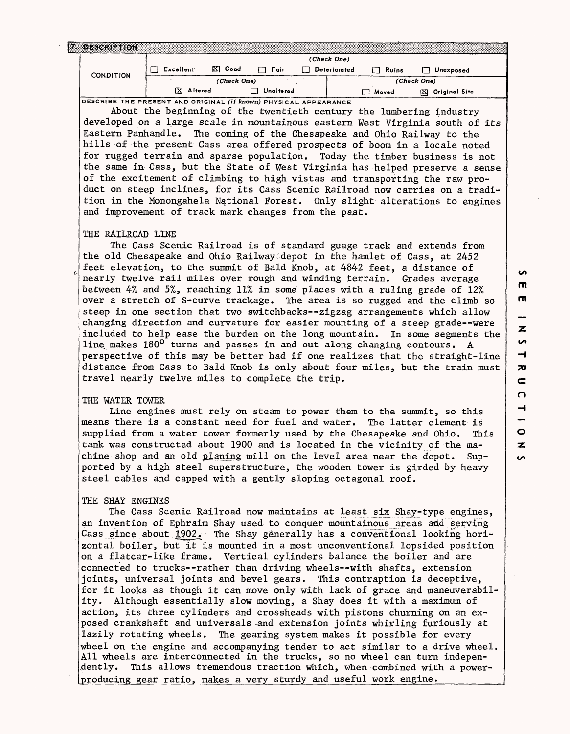| 17. DESCRIPTION                                                         |             |             |           |              |       |                    |
|-------------------------------------------------------------------------|-------------|-------------|-----------|--------------|-------|--------------------|
|                                                                         | (Check One) |             |           |              |       |                    |
| <b>CONDITION</b>                                                        | Excellent   | X.<br>Good  | Fair      | Deteriorated | Ruins | Unexposed          |
|                                                                         |             | (Check One) |           |              |       | (Check One)        |
|                                                                         | X Altered   |             | Unaltered |              | Moved | Original Site<br>⊠ |
| DESCRIBE THE PRESENT AND ORIGINAL <i>(if known)</i> PHYSICAL APPEARANCE |             |             |           |              |       |                    |

About the beginning of the twentieth century the lumbering industry developed on a large scale in mountainous eastern West Virginia south of its Eastern Panhandle. The coming of the Chesapeake and Ohio Railway to the hills of the present Cass area offered prospects of boom in a locale noted for rugged terrain and sparse population. Today the timber business is not the same in Cass, but the State of West Virginia has helped preserve a sense of the excitement of climbing to high vistas and transporting the raw product on steep inclines, for its Cass Scenic Railroad now carries on a tradition in the Monongahela National Forest. Only slight alterations to engines and improvement of track mark changes from the past.

#### THE RAILROAD LINE

The Cass Scenic Railroad is of standard guage track and extends from the old Chesapeake and Ohio Railway;depot in the hamlet of Cass, at 2452 feet elevation, to the summit of Bald Knob, at 4842 feet, a distance of nearly twelve rail miles over rough and winding terrain. Grades average between 4% and 5%, reaching 11% in some places with a ruling grade of 12% over a stretch of S-curve trackage. The area is so rugged and the climb so steep in one section that two switchbacks--zigzag arrangements which allow changing direction and curvature for easier mounting of a steep grade--were included to help ease the burden on the long mountain. In some segments the line makes 180° turns and passes in and out along changing contours. A perspective of this may be better had if one realizes that the straight-line distance from Cass to Bald Knob is only about four miles, but the train must travel nearly twelve miles to complete the trip.

# THE WATER TOWER

Line engines must rely on steam to power them to the summit, so this means there is a constant need for fuel and water. The latter element is supplied from a water tower formerly used by the Chesapeake and Ohio. This tank was constructed about 1900 and is located in the vicinity of the machine shop and an old planing mill on the level area near the depot. Supported by a high steel superstructure, the wooden tower is girded by heavy steel cables and capped with a gently sloping octagonal roof.

#### THE SHAY ENGINES

The Cass Scenic Railroad now maintains at least six Shay-type engines, an invention of Ephraim Shay used to conquer mountainous areas and serving Cass since about  $1902.$  The Shay generally has a conventional looking horizontal boiler, but it is mounted in a most unconventional lopsided position on a flatcar-like frame. Vertical cylinders balance the boiler and are connected to trucks--rather than driving wheels--with shafts, extension joints, universal joints and bevel gears. This contraption is deceptive, for it looks as though it can move only with lack of grace and maneuverability. Although essentially slow moving, a Shay does it with a maximum of action, its three cylinders and crossheads with pistons churning on an exposed crankshaft and universals :and extension joints whirling furiously at lazily rotating wheels. The gearing system makes it possible for every wheel on the engine and accompanying tender to act similar to a drive wheel. All wheels are interconnected in the trucks, so no wheel can turn independently. This allows tremendous traction which, when combined with a powerproducing gear ratio, makes a very sturdy and useful work engine.

**in**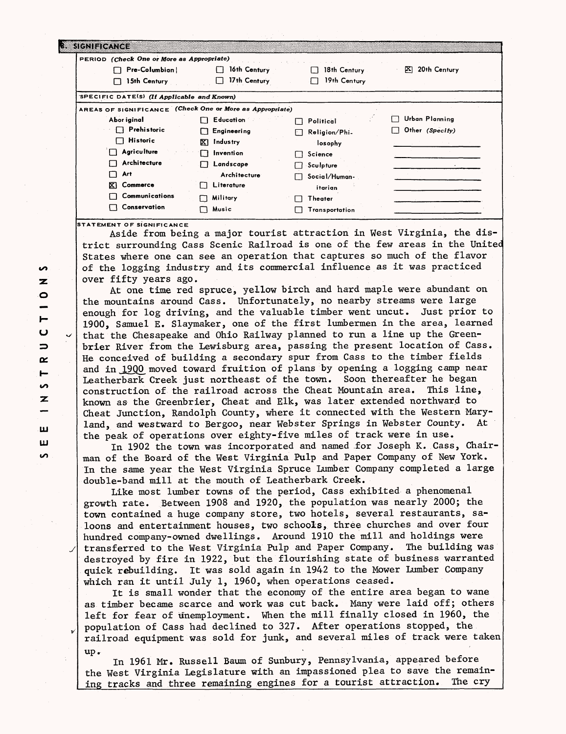| <u> International</u>                                    |                            |                    |                                       |
|----------------------------------------------------------|----------------------------|--------------------|---------------------------------------|
| PERIOD (Check One or More as Appropriate)                |                            |                    |                                       |
| Pre-Columbian                                            | 16th Century               | 18th Century       | 20th Century<br>EX I                  |
| 15th Century                                             | 17th Century               | 19th Century       |                                       |
| SPECIFIC DATE(S) (If Applicable and Known)               |                            |                    |                                       |
| AREAS OF SIGNIFICANCE (Check One or More as Appropriate) |                            |                    |                                       |
| Abor iginal                                              | $\Box$ Education           | Political<br>דו    | Urban Planning<br>$\vert \cdot \vert$ |
| $\Box$ Prehistoric                                       | Engineering<br>П           | Religion/Phi.<br>F | Other (Specify)                       |
| <b>Historic</b><br>t E                                   | RТ.<br>Industry            | losophy            |                                       |
| Agriculture                                              | Invention<br>П             | Science            |                                       |
| Architecture                                             | Landscape<br>П             | -Sculpture         |                                       |
| Art                                                      | Architecture               | Social/Human-      |                                       |
| X)<br>Commerce                                           | Literature<br>$\mathbf{1}$ | itarian            |                                       |
| Communications                                           | Military                   | Theater            |                                       |
| Conservation                                             | Music                      | Transportation     |                                       |

**STATEMENT OF SIGNIFICANCE**

Aside from being a major tourist attraction in West Virginia, the district surrounding Cass Scenic Railroad is one of the few areas in the United States where one can see an operation that captures so much of the flavor of the logging industry and, its commercial influence as it was practiced over fifty years ago.

At one time red spruce, yellow birch and hard maple were abundant on the mountains around Cass. Unfortunately, no nearby streams were large enough for log driving, and the valuable timber went uncut. Just prior to 1900, Samuel E. Slaymaker, one of the first lumbermen in the area, learned that the Chesapeake and Ohio Railway planned to run a line up the Greenbrier River from the Lewisburg area, passing the present location of Cass. He conceived of building a secondary spur from Cass to the timber fields and in 1900 moved toward fruition of plans by opening a logging camp near Leatherbark Creek just northeast of the town. Soon thereafter he began construction of the railroad across the Cheat Mountain area. This line, known as the Greenbrier, Cheat and Elk, was later extended northward to Cheat Junction, Randolph County, where it connected with the Western Maryland, and westward to Bergoo, near Webster Springs in Webster County. At the peak of operations over eighty-five miles of track were in use.

In 1902 the town was incorporated and named for Joseph K. Cass, Chairman of the Board of the West Virginia Pulp and Paper Company of New York. In the same year the West Virginia Spruce Lumber Company completed a large double-band mill at the mouth of Leatherbark Creek.

Like most lumber towns of the period, Cass exhibited a phenomenal growth rate. Between 1908 and 1920, the population was nearly 2000; the town contained a huge company store, two hotels, several restaurants, saloons and entertainment houses, two schools, three churches and over four hundred company-owned dwellings. Around 1910 the mill and holdings were transferred to the West Virginia Pulp and Paper Company. The building was destroyed by fire in 1922, but the flourishing state of business warranted quick rebuilding. It was sold again in 1942 to the Mower Lumber Company which ran it until July 1, 1960, when operations ceased.

It is small wonder that the economy of the entire area began to wane as timber became scarce and work was cut back. Many were laid off; others left for fear of unemployment. When the mill finally closed in 1960, the population of Cass had declined to 327. After operations stopped, the railroad equipment was sold for junk, and several miles of track were taken up.

In 1961 Mr. Russell Baum of Sunbury, Pennsylvania, appeared before the West Virginia Legislature with an impassioned plea to save the remaining tracks and three remaining engines for a tourist attraction. The cry

**S**  $\mathbf{z}$  $\bullet$  $\vdash$ u  $\Rightarrow$ i**uo** Z **LLJ yj to**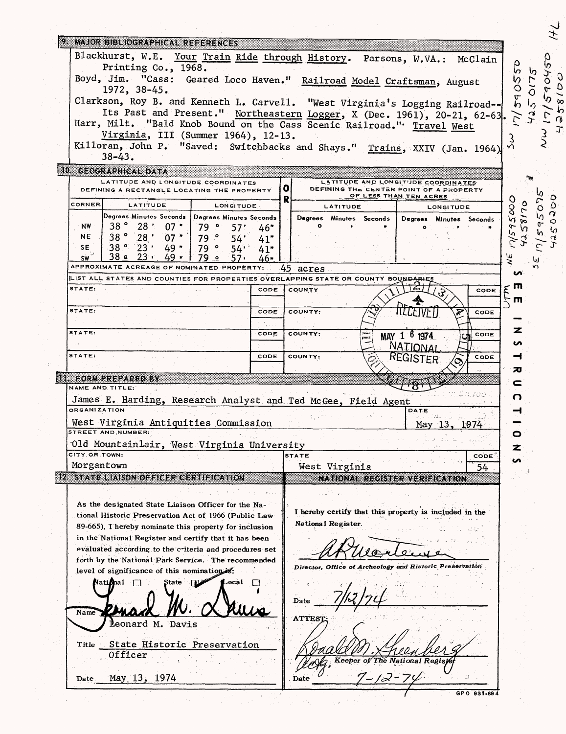| 9. MAJOR BIBLIOGRAPHICAL REFERENCES                                                            |                                                                                               |
|------------------------------------------------------------------------------------------------|-----------------------------------------------------------------------------------------------|
|                                                                                                | Blackhurst, W.E. Your Train Ride through History. Parsons, W.VA.: McClain                     |
| Printing Co., 1968.                                                                            |                                                                                               |
|                                                                                                | Boyd, Jim. "Cass: Geared Loco Haven." Railroad Model Craftsman, August<br>სე<br>ე             |
| 1972, 38-45.                                                                                   |                                                                                               |
|                                                                                                | $\frac{6}{5}$<br>Clarkson, Roy B. and Kenneth L. Carvell. "West Virginia's Logging Railroad-- |
|                                                                                                | Its Past and Present." Northeastern Logger, X (Dec. 1961), 20-21, 62-63.                      |
| Harr, Milt. "Bald Knob Bound on the Cass Scenic Railroad." Travel West                         |                                                                                               |
| Virginia, III (Summer 1964), 12-13.                                                            |                                                                                               |
|                                                                                                | Killoran, John P. "Saved: Switchbacks and Shays." Trains, XXIV (Jan. 1964)                    |
| $38 - 43.$                                                                                     |                                                                                               |
| 10 GEOGRAPHICAL DATA                                                                           |                                                                                               |
| LATITUDE AND LONGITUDE COORDINATES<br>DEFINING A RECTANGLE LOCATING THE PROPERTY               | LATITUDE AND LONGITUDE COORDINATES<br>O.<br>DEFINING THE CENTER POINT OF A PROPERTY           |
|                                                                                                | OF LESS THAN TEN ACRES<br>R<br>O                                                              |
| CORNER<br>LATITUDE<br><b>LONGITUDE</b>                                                         | LATITUDE<br>$\infty$<br><b>LONGITUDE</b>                                                      |
| Degrees Minutes Seconds   Degrees Minutes Seconds<br>38°                                       | ۱ñ<br>Degrees. Minutes Seconds  <br>Degrees Minutes Seconds                                   |
| 28:07<br><b>NW</b><br>79°<br>57'<br>46"<br>38°28'<br><b>NE</b>                                 | $17/59$ .                                                                                     |
| $07*$<br>79°<br>54'<br>41"<br>$38°$ 23' 49"<br>SE.                                             |                                                                                               |
| 79°<br>$54$ <sup>*</sup><br>41"<br>ـ 28.<br>$23 -$<br>49 -<br>79 o<br><b>SW</b><br>57 -<br>46. | ΨĒ                                                                                            |
| APPROXIMATE ACREAGE OF NOMINATED PROPERTY:                                                     | 45<br>acres                                                                                   |
| LIST ALL STATES AND COUNTIES FOR PROPERTIES OVERLAPPING STATE OR COUNTY BOUNDARIES             | ທ                                                                                             |
| STATE:<br>CODE                                                                                 | л<br>5<br>COUNTY<br>CODE                                                                      |
|                                                                                                | m                                                                                             |
| STATE:<br>CODE<br>22 u                                                                         | TTELETVFII<br>COUNTY:<br>CODE                                                                 |
|                                                                                                |                                                                                               |
| STATE:<br>CODE                                                                                 | z<br>COUNTY:<br>MAY 1 6 1974<br>CODE                                                          |
|                                                                                                |                                                                                               |
|                                                                                                | n<br>NATIONAL                                                                                 |
| STATE:<br>CODE                                                                                 | COUNTY:<br>–1<br>CODE                                                                         |
|                                                                                                | <b>REGISTER:</b><br>ᅎ                                                                         |
| <b>TELEORM PREPARED BY</b>                                                                     | c                                                                                             |
| NAME AND TITLE:                                                                                | O                                                                                             |
| James E. Harding, Research Analyst and Ted McGee, Field Agent                                  |                                                                                               |
| <b>ORGANIZATION</b>                                                                            | DATE<br>ᅥ                                                                                     |
| West Virginia Antiquities Commission<br><b>STREET AND NUMBER:</b>                              | May 13, 1974                                                                                  |
|                                                                                                | O                                                                                             |
| Old Mountainlair, West Virginia University<br>CITY OR TOWN:                                    | z                                                                                             |
|                                                                                                | <b>STATE</b><br>CODE<br>ın                                                                    |
| Morgantown                                                                                     | West Virginia<br>54                                                                           |
| 12 STATE LIAISON OFFICER CERTIFICATION                                                         | NATIONAL REGISTER VERIFICATION                                                                |
|                                                                                                |                                                                                               |
| As the designated State Liaison Officer for the Na-                                            |                                                                                               |
| tional Historic Preservation Act of 1966 (Public Law                                           | I hereby certify that this property is included in the<br>National Register.                  |
| 89-665), I hereby nominate this property for inclusion                                         |                                                                                               |
| in the National Register and certify that it has been                                          |                                                                                               |
| evaluated according to the criteria and procedures set                                         |                                                                                               |
| forth by the National Park Service. The recommended                                            | Director, Office of Archeology and Historic Preservation                                      |
| level of significance of this nominations:                                                     |                                                                                               |
| ocal<br>National<br>State                                                                      |                                                                                               |
|                                                                                                | Date                                                                                          |
| Name                                                                                           |                                                                                               |
|                                                                                                | <b>ATTEST</b>                                                                                 |
| <b>Leonard M. Davis</b>                                                                        |                                                                                               |
| Title                                                                                          |                                                                                               |
| State Historic Preservation<br>Officer                                                         |                                                                                               |
|                                                                                                | Keeper of The National                                                                        |
| May 13, 1974<br>Date                                                                           | Date                                                                                          |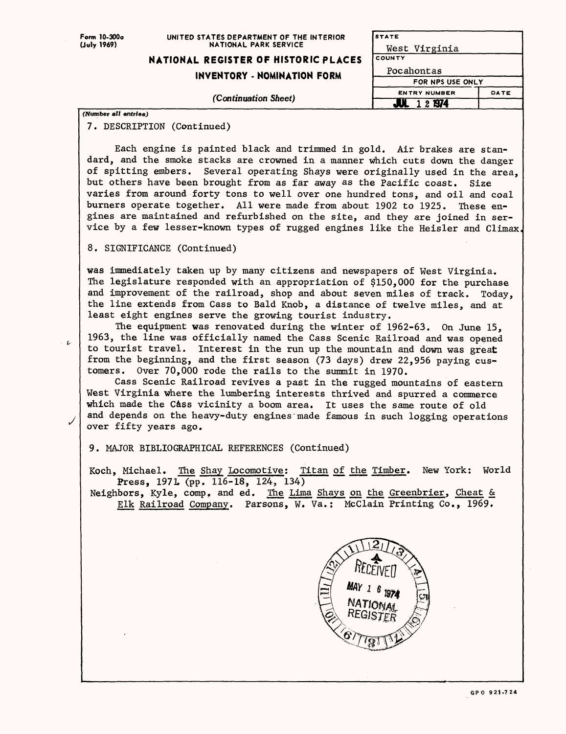| Form 10-300a<br>(July 1969) | UNITED STATES DEPARTMENT OF THE INTERIOR<br>NATIONAL PARK SERVICE | STATE               |      |  |
|-----------------------------|-------------------------------------------------------------------|---------------------|------|--|
|                             |                                                                   | West Virginia       |      |  |
|                             | NATIONAL REGISTER OF HISTORIC PLACES                              | <b>COUNTY</b>       |      |  |
|                             | INVENTORY - NOMINATION FORM                                       | Pocahontas          |      |  |
|                             |                                                                   | FOR NPS USE ONLY    |      |  |
|                             |                                                                   | <b>ENTRY NUMBER</b> | DATE |  |
|                             | (Continuation Sheet)                                              | 1 2 1974            |      |  |
| (Number all entries)        |                                                                   |                     |      |  |

7. DESCRIPTION (Continued)

Each engine is painted black and trimmed in gold. Air brakes are standard, and the smoke stacks are crowned in a manner which cuts down the danger of spitting embers. Several operating Shays were originally used in the area, but others have been brought from as far away as the Pacific coast. Size varies from around forty tons to well over one hundred tons, and oil and coal burners operate together. All were made from about 1902 to 1925. These engines are maintained and refurbished on the site, and they are joined in service by a few lesser-known types of rugged engines like the Heisler and Climax

8. SIGNIFICANCE (Continued)

 $\overline{\nu}$ 

was immediately taken up by many citizens and newspapers of West Virginia. The legislature responded with an appropriation of \$150,000 for the purchase and improvement of the railroad, shop and about seven miles of track. Today, the line extends from Cass to Bald Knob, a distance of twelve miles, and at least eight engines serve the growing tourist industry.

The equipment was renovated during the winter of 1962-63. On June 15, 1963, the line was officially named the Cass Scenic Railroad and was opened to tourist travel. Interest in the run up the mountain and down was great from the beginning, and the first season (73 days) drew 22,956 paying customers. Over 70,000 rode the rails to the summit in 1970.

Cass Scenic Railroad revives a past in the rugged mountains of eastern West Virginia where the lumbering interests thrived and spurred a commerce which made the Cass vicinity a boom area. It uses the same route of old and depends on the heavy-duty engines made famous in such logging operations over fifty years ago.

9. MAJOR BIBLIOGRAPHICAL REFERENCES (Continued)

Koch, Michael. The Shay Locomotive: Titan of the Timber. New York: World Press, 197L (pp. 116-18, 124, 134)

Neighbors, Kyle, comp, and ed. The Lima Shays on the Greenbrier, Cheat & Elk Railroad Company. Parsons, W. Va.: McClain Printing Co., 1969.

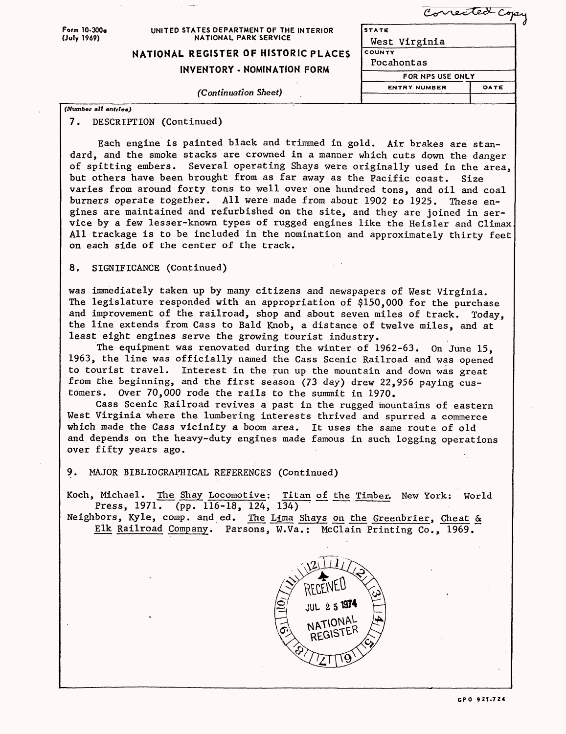| Form 10-300a<br>(July 1969) | UNITED STATES DEPARTMENT OF THE INTERIOR<br><b>NATIONAL PARK SERVICE</b><br>NATIONAL REGISTER OF HISTORIC PLACES | Corrected Copy<br><b>STATE</b><br>West Virginia<br>COUNTY<br>Pocahontas |      |  |
|-----------------------------|------------------------------------------------------------------------------------------------------------------|-------------------------------------------------------------------------|------|--|
|                             | <b>INVENTORY - NOMINATION FORM</b><br>(Continuation Sheet)                                                       | FOR NPS USE ONLY                                                        |      |  |
|                             |                                                                                                                  | <b>ENTRY NUMBER</b>                                                     | DATE |  |
| (Number all entries)        |                                                                                                                  |                                                                         |      |  |

# 7. DESCRIPTION (Continued)

Each engine is painted black and trimmed in gold. Air brakes are standard, and the smoke stacks are crowned in a manner which cuts down the danger of spitting embers. Several operating Shays were originally used in the area, but others have been brought from as far away as the Pacific coast. Size varies from around forty tons to well over one hundred tons, and oil and coal burners operate together. All were made from about 1902 to 1925. These engines are maintained and refurbished on the site, and they are joined in service by a few lesser-known types of rugged engines like the Heisler and Climax All trackage is to be included in the nomination and approximately thirty feet on each side of the center of the track.

## 8. SIGNIFICANCE (Continued)

was immediately taken up by many citizens and newspapers of West Virginia. The legislature responded with an appropriation of \$150,000 for the purchase and improvement of the railroad, shop and about seven miles of track. Today, the line extends from Cass to Bald Knob, a distance of twelve miles, and at least eight engines serve the growing tourist industry.

The equipment was renovated during the winter of 1962-63. On June 15, 1963, the line was officially named the Cass Scenic Railroad and was opened to tourist travel. Interest in the run up the mountain and down was great from the beginning, and the first season (73 day) drew 22,956 paying customers. Over 70,000 rode the rails to the summit in 1970.

Cass Scenic Railroad revives a past in the rugged mountains of eastern West Virginia where the lumbering interests thrived and spurred a commerce which made the Cass vicinity a boom area. It uses the same route of old and depends on the heavy-duty engines made famous in such logging operations over fifty years ago.

## 9. MAJOR BIBLIOGRAPHICAL REFERENCES (Continued)

Koch, Michael. The Shay Locomotive: Titan of the Timber. New York: World Press, 1971. (pp. 116-18, 124, 134)

Neighbors, Kyle, comp. and ed. The Lima Shays on the Greenbrier, Cheat & Elk Railroad Company. Parsons, W.Va.: McClain Printing Co., 1969.